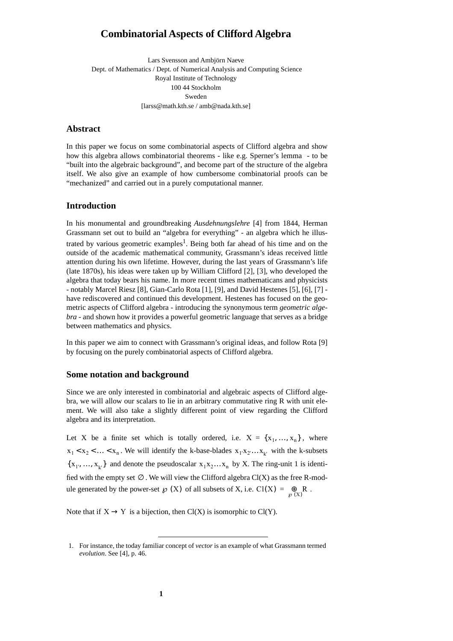# **Combinatorial Aspects of Clifford Algebra**

Lars Svensson and Ambjörn Naeve Dept. of Mathematics / Dept. of Numerical Analysis and Computing Science Royal Institute of Technology 100 44 Stockholm Sweden [larss@math.kth.se / amb@nada.kth.se]

# **Abstract**

In this paper we focus on some combinatorial aspects of Clifford algebra and show how this algebra allows combinatorial theorems - like e.g. Sperner's lemma - to be "built into the algebraic background", and become part of the structure of the algebra itself. We also give an example of how cumbersome combinatorial proofs can be "mechanized" and carried out in a purely computational manner.

## **Introduction**

In his monumental and groundbreaking *Ausdehnungslehre* [4] from 1844, Herman Grassmann set out to build an "algebra for everything" - an algebra which he illustrated by various geometric examples<sup>1</sup>. Being both far ahead of his time and on the outside of the academic mathematical community, Grassmann's ideas received little attention during his own lifetime. However, during the last years of Grassmann's life (late 1870s), his ideas were taken up by William Clifford [2], [3], who developed the algebra that today bears his name. In more recent times mathematicans and physicists - notably Marcel Riesz [8], Gian-Carlo Rota [1], [9], and David Hestenes [5], [6], [7] have rediscovered and continued this development. Hestenes has focused on the geometric aspects of Clifford algebra - introducing the synonymous term *geometric algebra* - and shown how it provides a powerful geometric language that serves as a bridge between mathematics and physics.

In this paper we aim to connect with Grassmann's original ideas, and follow Rota [9] by focusing on the purely combinatorial aspects of Clifford algebra.

#### **Some notation and background**

Since we are only interested in combinatorial and algebraic aspects of Clifford algebra, we will allow our scalars to lie in an arbitrary commutative ring R with unit element. We will also take a slightly different point of view regarding the Clifford algebra and its interpretation.

Let X be a finite set which is totally ordered, i.e.  $X = \{x_1, ..., x_n\}$ , where  $x_1 < x_2 < ... < x_n$ . We will identify the k-base-blades  $x_1x_2...x_k$  with the k-subsets  $\{x_1, ..., x_k\}$  and denote the pseudoscalar  $x_1x_2...x_n$  by X. The ring-unit 1 is identified with the empty set  $\emptyset$ . We will view the Clifford algebra Cl(X) as the free R-module generated by the power-set  $\mathcal{P}(X)$  of all subsets of X, i.e.  $Cl(X) = \bigoplus_{\mathcal{P}(X)} R$ .

Note that if  $X \to Y$  is a bijection, then Cl(X) is isomorphic to Cl(Y).

<sup>1.</sup> For instance, the today familiar concept of *vector* is an example of what Grassmann termed *evolution*. See [4], p. 46.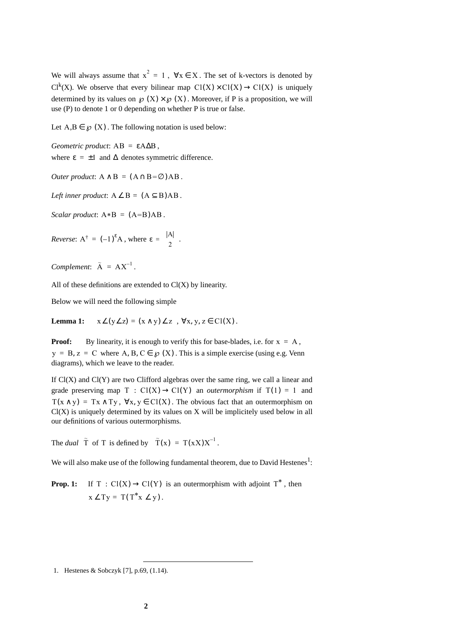We will always assume that  $x^2 = 1$ ,  $\forall x \in X$ . The set of k-vectors is denoted by  $Cl<sup>k</sup>(X)$ . We observe that every bilinear map  $Cl(X) \times Cl(X) \rightarrow Cl(X)$  is uniquely determined by its values on  $\mathcal{P}(X) \times \mathcal{P}(X)$ . Moreover, if P is a proposition, we will use (P) to denote 1 or 0 depending on whether P is true or false.

Let  $A, B \in \mathcal{O}(X)$ . The following notation is used below:

 $Geometric product: AB = \varepsilon A \Delta B$ , where  $\varepsilon = \pm 1$  and  $\Delta$  denotes symmetric difference.

*Outer product*:  $A \wedge B = (A \cap B = \emptyset)AB$ .

*Left inner product*:  $A \angle B = (A \subseteq B)AB$ .

 $Scalar product: A*B = (A=B)AB$ .

*Reverse*:  $A^{\dagger} = (-1)^{\varepsilon} A$ , where  $\varepsilon = {\binom{|A|}{2}}$ .

*Complement*:  $\tilde{A} = AX^{-1}$ .

All of these definitions are extended to  $Cl(X)$  by linearity.

Below we will need the following simple

**Lemma 1:**  $x \angle (y \angle z) = (x \wedge y) \angle z$ ,  $\forall x, y, z \in Cl(X)$ .

**Proof:** By linearity, it is enough to verify this for base-blades, i.e. for  $x = A$ ,  $y = B, z = C$  where A, B,  $C \in \mathcal{D}(X)$ . This is a simple exercise (using e.g. Venn diagrams), which we leave to the reader.

If  $Cl(X)$  and  $Cl(Y)$  are two Clifford algebras over the same ring, we call a linear and grade preserving map T :  $Cl(X) \rightarrow Cl(Y)$  an *outermorphism* if  $T(1) = 1$  and  $T(x \wedge y) = Tx \wedge Ty$ ,  $\forall x, y \in Cl(X)$ . The obvious fact that an outermorphism on  $Cl(X)$  is uniquely determined by its values on  $X$  will be implicitely used below in all our definitions of various outermorphisms.

The *dual*  $\tilde{T}$  of T is defined by  $\tilde{T}(x) = T(xX)X^{-1}$ .

We will also make use of the following fundamental theorem, due to David Hestenes<sup>1</sup>:

**Prop. 1:** If  $T : Cl(X) \to Cl(Y)$  is an outermorphism with adjoint  $T^*$ , then  $x \angle Ty = T(T^*x \angle y).$ 

<sup>1.</sup> Hestenes & Sobczyk [7], p.69, (1.14).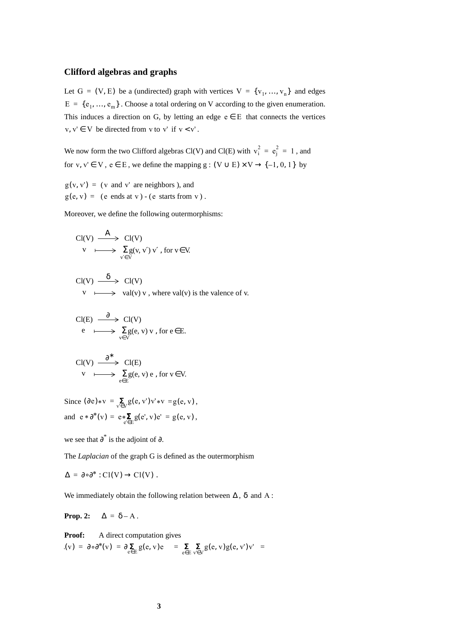#### **Clifford algebras and graphs**

Let  $G = (V, E)$  be a (undirected) graph with vertices  $V = \{v_1, ..., v_n\}$  and edges  $E = \{e_1, ..., e_m\}$ . Choose a total ordering on V according to the given enumeration. This induces a direction on G, by letting an edge  $e \in E$  that connects the vertices  $v, v' \in V$  be directed from v to v' if  $v < v'$ .

We now form the two Clifford algebras Cl(V) and Cl(E) with  $v_i^2 = e_j^2 = 1$ , and for v, v'  $\in$  V,  $e \in E$ , we define the mapping  $g : (V \cup E) \times V \rightarrow \{-1, 0, 1\}$  by

 $g(v, v') = (v \text{ and } v' \text{ are neighbors}),$  and  $g(e, v) = (e \text{ ends at } v) - (e \text{ starts from } v).$ 

Moreover, we define the following outermorphisms:

$$
\text{Cl}(V) \xrightarrow{A} \text{Cl}(V)
$$
  
\n
$$
v \xrightarrow[V \to]{} \sum_{v' \in V} g(v, v') v', \text{ for } v \in V.
$$

$$
Cl(V) \xrightarrow{\delta} Cl(V)
$$
  
 
$$
V \longmapsto val(v) v, \text{ where } val(v) \text{ is the valence of } v.
$$

$$
\text{Cl}(E) \xrightarrow{\partial} \text{Cl}(V) \ne \bigcup_{v \in V} \sum_{v \in V} g(e, v) v, \text{ for } e \in E.
$$

$$
\text{Cl}(V) \xrightarrow{\partial^*} \text{Cl}(E) \nv \longmapsto \sum_{e \in E} g(e, v) e, \text{ for } v \in V.
$$

Since  $(\partial e)*v = \sum_{v' \in V} g(e, v')v' * v = g(e, v)$ , and  $e * \partial^*(v) = e * \sum_{e' \in E} g(e', v) e' = g(e, v)$ ,

we see that  $\partial^*$  is the adjoint of  $\partial$ .

The *Laplacian* of the graph G is defined as the outermorphism

$$
\Delta = \partial \circ \partial^* : Cl(V) \to Cl(V) .
$$

We immediately obtain the following relation between  $\Delta$ ,  $\delta$  and A:

**Prop. 2:**  $\Delta = \delta - A$ .

**Proof:** A direct computation gives  $(v) = \partial \circ \partial^*(v) = \partial \sum_{e \in E} g(e, v)e$  =  $\sum_{e \in E} \sum_{v \in V} g(e, v)g(e, v')v'$  =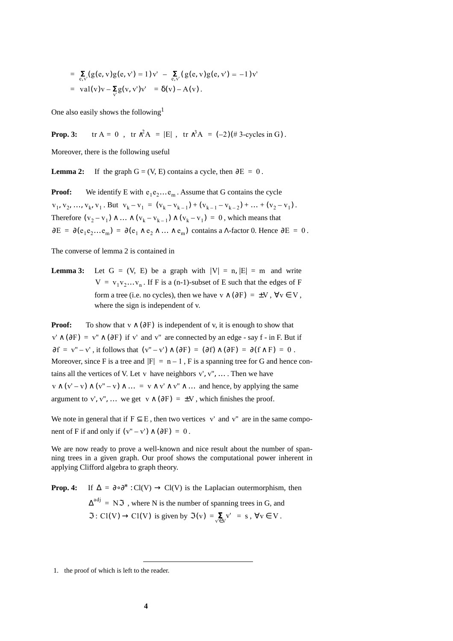$$
= \sum_{e,v'} (g(e,v)g(e,v') = 1)v' - \sum_{e,v'} (g(e,v)g(e,v') = -1)v'
$$
  
= val(v)v -  $\sum_{v'} g(v,v')v' = \delta(v) - A(v)$ .

One also easily shows the following<sup>1</sup>

**Prop. 3:**  $\text{tr } A = 0$ ,  $\text{tr } \lambda^2 A = |E|$ ,  $\text{tr } \lambda^3 A = (-2)(\text{# } 3\text{-cycles in } G)$ .

Moreover, there is the following useful

**Lemma 2:** If the graph  $G = (V, E)$  contains a cycle, then  $\partial E = 0$ .

**Proof:** We identify E with  $e_1e_2...e_m$ . Assume that G contains the cycle  $v_1, v_2, ..., v_k, v_1$ . But  $v_k - v_1 = (v_k - v_{k-1}) + (v_{k-1} - v_{k-2}) + ... + (v_2 - v_1)$ . Therefore  $(v_2 - v_1) \wedge ... \wedge (v_k - v_{k-1}) \wedge (v_k - v_1) = 0$ , which means that  $\partial E = \partial(e_1e_2...e_m) = \partial(e_1 \wedge e_2 \wedge ... \wedge e_m)$  contains a  $\Lambda$ -factor 0. Hence  $\partial E = 0$ .

The converse of lemma 2 is contained in

**Lemma 3:** Let  $G = (V, E)$  be a graph with  $|V| = n$ ,  $|E| = m$  and write  $V = v_1v_2...v_n$ . If F is a (n-1)-subset of E such that the edges of F form a tree (i.e. no cycles), then we have  $v \wedge (\partial F) = \pm V$ ,  $\forall v \in V$ , where the sign is independent of v.

**Proof:** To show that  $v \wedge (\partial F)$  is independent of v, it is enough to show that  $v' \wedge (\partial F) = v'' \wedge (\partial F)$  if v' and v" are connected by an edge - say f - in F. But if  $\partial f = v'' - v'$ , it follows that  $(v'' - v') \wedge (\partial F) = (\partial f) \wedge (\partial F) = \partial (f \wedge F) = 0$ . Moreover, since F is a tree and  $|F| = n - 1$ , F is a spanning tree for G and hence contains all the vertices of V. Let v have neighbors  $v', v'', \ldots$ . Then we have  $v \wedge (v'-v) \wedge (v''-v) \wedge ... = v \wedge v' \wedge v'' \wedge ...$  and hence, by applying the same argument to v', v'', ... we get  $v \wedge (\partial F) = \pm V$ , which finishes the proof.

We note in general that if  $F \subseteq E$ , then two vertices v' and v" are in the same component of F if and only if  $(v'' - v') \wedge (\partial F) = 0$ .

We are now ready to prove a well-known and nice result about the number of spanning trees in a given graph. Our proof shows the computational power inherent in applying Clifford algebra to graph theory.

**Prop. 4:** If  $\Delta = \partial \circ \partial^* : Cl(V) \to Cl(V)$  is the Laplacian outermorphism, then  $\Delta^{adj}$  = N $\Im$ , where N is the number of spanning trees in G, and  $\Im : Cl(V) \to Cl(V)$  is given by  $\Im(v) = \sum_{v \in V} v' = s$ ,  $\forall v \in V$ .

<sup>1.</sup> the proof of which is left to the reader.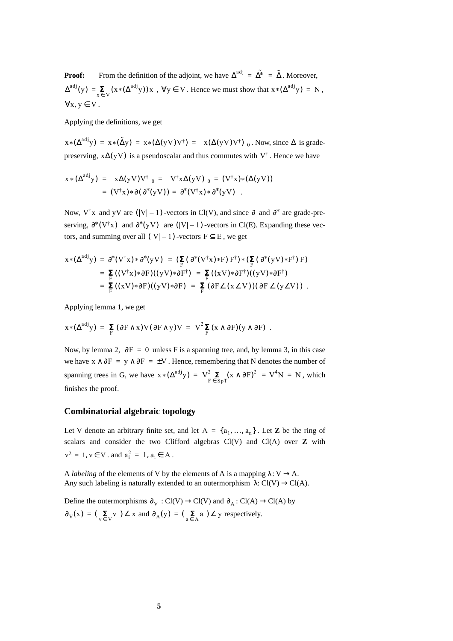**Proof:** From the definition of the adjoint, we have  $\Delta^{adj} = \tilde{\Delta^*} = \tilde{\Delta}$ . Moreover,  $\Delta^{adj}(y) = \sum_{x \in V} (x * (\Delta^{adj} y)) x$ ,  $\forall y \in V$ . Hence we must show that  $x * (\Delta^{adj} y) = N$ ,  $\forall x, y \in V$ .

Applying the definitions, we get

 $x*(\Delta^{adj}y) = x*(\tilde{\Delta}y) = x*(\Delta(yV)V^{\dagger}) = \langle x(\Delta(yV)V^{\dagger})\rangle_0$ . Now, since  $\Delta$  is gradepreserving,  $x\Delta(yV)$  is a pseudoscalar and thus commutes with  $V^{\dagger}$ . Hence we have

$$
x * (\Delta^{adj} y) = \langle x \Delta(yV) V^{\dagger} \rangle_0 = \langle V^{\dagger} x \Delta(yV) \rangle_0 = (V^{\dagger} x) * (\Delta(yV))
$$
  
= 
$$
(V^{\dagger} x) * \partial(\partial^* (yV)) = \partial^* (V^{\dagger} x) * \partial^* (yV) .
$$

Now,  $V^{\dagger}x$  and yV are  $(|V|-1)$  -vectors in Cl(V), and since  $\partial$  and  $\partial^*$  are grade-preserving,  $\partial^*(V^{\dagger}x)$  and  $\partial^*(yV)$  are  $(|V|-1)$ -vectors in Cl(E). Expanding these vectors, and summing over all  $(|V| - 1)$  -vectors  $F \subseteq E$ , we get

$$
x*(\Delta^{adj}y) = \partial^*(V^{\dagger}x)*\partial^*(yV) = (\sum_{F} (\partial^*(V^{\dagger}x)*F) F^{\dagger})*(\sum_{F} (\partial^*(yV)*F^{\dagger}) F)
$$
  
=  $\sum_{F} ((V^{\dagger}x)*\partial F)((yV)*\partial F^{\dagger}) = \sum_{F} ((xV)*\partial F^{\dagger})((yV)*\partial F^{\dagger})$   
=  $\sum_{F} ((xV)*\partial F)((yV)*\partial F) = \sum_{F} (\partial F\angle(x\angle V)) (\partial F\angle(y\angle V))$ .

Applying lemma 1, we get

$$
x * (\Delta^{adj} y) = \sum_{F} (\partial F \wedge x) V (\partial F \wedge y) V = V^{2} \sum_{F} (x \wedge \partial F) (y \wedge \partial F) .
$$

Now, by lemma 2,  $\partial F = 0$  unless F is a spanning tree, and, by lemma 3, in this case we have  $x \wedge \partial F = y \wedge \partial F = \pm V$ . Hence, remembering that N denotes the number of spanning trees in G, we have  $x * (\Delta^{adj} y) = V_{F \in SpT}^2 (x \wedge \partial F)^2 = V^4 N = N$ , which finishes the proof.

# **Combinatorial algebraic topology**

Let V denote an arbitrary finite set, and let  $A = \{a_1, ..., a_n\}$ . Let **Z** be the ring of scalars and consider the two Clifford algebras Cl(V) and Cl(A) over **Z** with  $v^2 = 1, v \in V$ . and  $a_i^2 = 1, a_i \in A$ .

A *labeling* of the elements of V by the elements of A is a mapping  $\lambda: V \rightarrow A$ . Any such labeling is naturally extended to an outermorphism  $\lambda$ : Cl(V)  $\rightarrow$  Cl(A).

Define the outermorphisms  $\partial_V : Cl(V) \to Cl(V)$  and  $\partial_A : Cl(A) \to Cl(A)$  by  $\partial_V(x) = (\sum_{v \in V} v) \angle x$  and  $\partial_A(y) = (\sum_{a \in A} a) \angle y$  respectively.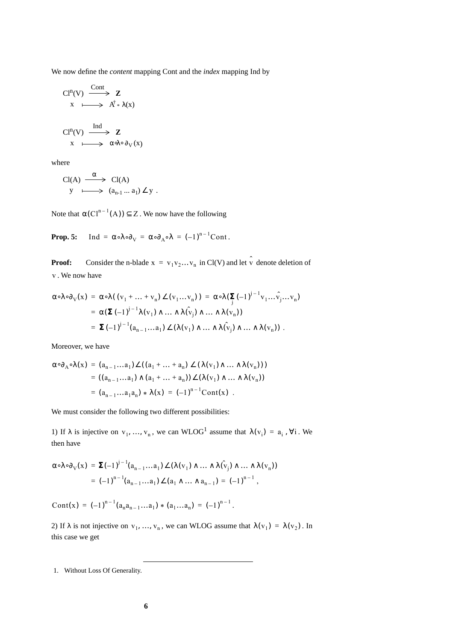We now define the *content* mapping Cont and the *index* mapping Ind by

$$
\begin{array}{ccc}\n\text{Cl}^n(V) & \xrightarrow{\text{Cont}} & \mathbf{Z} \\
x & \longmapsto & A^{\dagger} * \lambda(x) \\
\text{Cl}^n(V) & \xrightarrow{\text{Ind}} & \mathbf{Z} \\
x & \longmapsto & \alpha \lambda \circ \partial_V(x)\n\end{array}
$$

where

$$
\begin{array}{ccc}\n\text{Cl}(A) & \xrightarrow{\alpha} & \text{Cl}(A) \\
y & \longmapsto & (a_{n-1} \dots a_1) \angle y \, .\n\end{array}
$$

Note that  $\alpha({Cl}^{n-1}(A)) \subseteq Z$ . We now have the following

**Prop. 5:** Ind =  $\alpha \circ \lambda \circ \partial_V = \alpha \circ \partial_A \circ \lambda = (-1)^{n-1}$ Cont.

**Proof:** Consider the n-blade  $x = v_1v_2...v_n$  in Cl(V) and let  $\hat{v}$  denote deletion of . We now have v

$$
\alpha \circ \lambda \circ \partial_V(x) = \alpha \circ \lambda ((v_1 + ... + v_n) \angle (v_1 ... v_n)) = \alpha \circ \lambda (\sum_j (-1)^{j-1} v_1 ... \hat{v_j} ... v_n)
$$
  
=  $\alpha (\Sigma (-1)^{j-1} \lambda (v_1) \wedge ... \wedge \lambda (\hat{v}_j) \wedge ... \wedge \lambda (v_n))$   
=  $\Sigma (-1)^{j-1} (a_{n-1} ... a_1) \angle (\lambda (v_1) \wedge ... \wedge \lambda (\hat{v}_j) \wedge ... \wedge \lambda (v_n)).$ 

Moreover, we have

$$
\alpha \circ \partial_{A} \circ \lambda(x) = (a_{n-1} \dots a_1) \angle ((a_1 + \dots + a_n) \angle (\lambda(v_1) \wedge \dots \wedge \lambda(v_n)))
$$
  
=  $((a_{n-1} \dots a_1) \wedge (a_1 + \dots + a_n)) \angle (\lambda(v_1) \wedge \dots \wedge \lambda(v_n))$   
=  $(a_{n-1} \dots a_1 a_n) * \lambda(x) = (-1)^{n-1} \text{Cont}(x)$ .

We must consider the following two different possibilities:

1) If  $\lambda$  is injective on  $v_1, ..., v_n$ , we can WLOG<sup>1</sup> assume that  $\lambda(v_i) = a_i$ ,  $\forall i$ . We then have

$$
\alpha \circ \lambda \circ \partial_V(x) = \Sigma (-1)^{j-1} (a_{n-1} \dots a_1) \angle (\lambda(v_1) \wedge \dots \wedge \lambda(v_j) \wedge \dots \wedge \lambda(v_n))
$$
  
=  $(-1)^{n-1} (a_{n-1} \dots a_1) \angle (a_1 \wedge \dots \wedge a_{n-1}) = (-1)^{n-1}$ ,

Cont(x) =  $(-1)^{n-1}(a_n a_{n-1} \ldots a_1) * (a_1 \ldots a_n) = (-1)^{n-1}$ .

2) If  $\lambda$  is not injective on  $v_1, ..., v_n$ , we can WLOG assume that  $\lambda(v_1) = \lambda(v_2)$ . In this case we get

<sup>1.</sup> Without Loss Of Generality.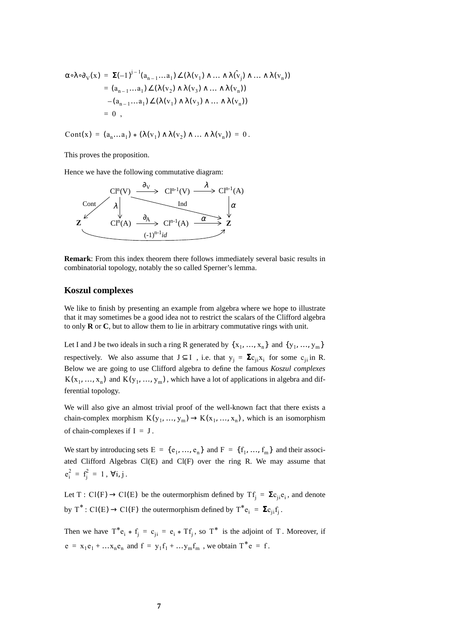$$
\alpha \circ \lambda \circ \partial_V(x) = \Sigma (-1)^{j-1} (a_{n-1} \dots a_1) \angle (\lambda(v_1) \wedge \dots \wedge \lambda(v_j) \wedge \dots \wedge \lambda(v_n))
$$
  
=  $(a_{n-1} \dots a_1) \angle (\lambda(v_2) \wedge \lambda(v_3) \wedge \dots \wedge \lambda(v_n))$   
–  $(a_{n-1} \dots a_1) \angle (\lambda(v_1) \wedge \lambda(v_3) \wedge \dots \wedge \lambda(v_n))$   
= 0,

Cont(x) =  $(a_n...a_1) * (\lambda(v_1) \wedge \lambda(v_2) \wedge ... \wedge \lambda(v_n)) = 0$ .

This proves the proposition.

Hence we have the following commutative diagram:



**Remark**: From this index theorem there follows immediately several basic results in combinatorial topology, notably the so called Sperner's lemma.

#### **Koszul complexes**

We like to finish by presenting an example from algebra where we hope to illustrate that it may sometimes be a good idea not to restrict the scalars of the Clifford algebra to only **R** or **C**, but to allow them to lie in arbitrary commutative rings with unit.

Let I and J be two ideals in such a ring R generated by  $\{x_1, ..., x_n\}$  and  $\{y_1, ..., y_m\}$ respectively. We also assume that  $J \subseteq I$ , i.e. that  $y_j = \sum c_{ji} x_i$  for some  $c_{ji}$  in R. Below we are going to use Clifford algebra to define the famous *Koszul complexes*  $K(x_1, ..., x_n)$  and  $K(y_1, ..., y_m)$ , which have a lot of applications in algebra and differential topology.

We will also give an almost trivial proof of the well-known fact that there exists a chain-complex morphism  $K(y_1, ..., y_m) \to K(x_1, ..., x_n)$ , which is an isomorphism of chain-complexes if  $I = J$ .

We start by introducing sets  $E = \{e_1, ..., e_n\}$  and  $F = \{f_1, ..., f_m\}$  and their associated Clifford Algebras Cl(E) and Cl(F) over the ring R. We may assume that  $e_i^2 = f_j^2 = 1$ ,  $\forall i, j$ .

Let T: Cl(F)  $\rightarrow$  Cl(E) be the outermorphism defined by Tf<sub>j</sub> =  $\Sigma c_{ji}e_i$ , and denote by  $T^*$ : Cl(E)  $\rightarrow$  Cl(F) the outermorphism defined by  $T^*e_i = \sum_{j} c_{ji} f_j$ .

Then we have  $T^*e_i * f_j = c_{ji} = e_i * Tf_j$ , so  $T^*$  is the adjoint of T. Moreover, if  $e = x_1e_1 + ... x_ne_n$  and  $f = y_1f_1 + ... y_mf_m$ , we obtain  $T^*e = f$ .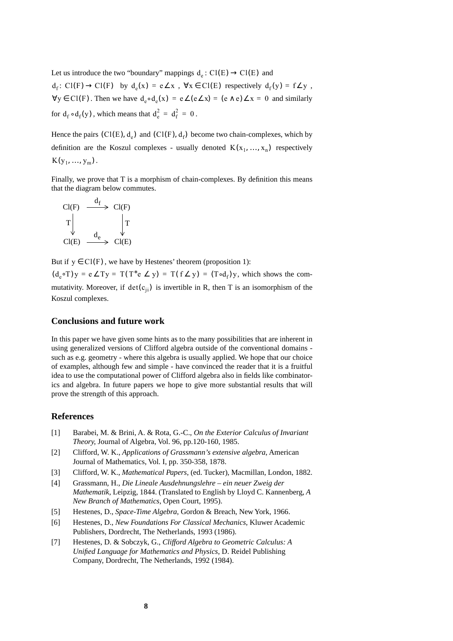Let us introduce the two "boundary" mappings  $d_e: Cl(E) \rightarrow Cl(E)$  and  $d_f: Cl(F) \to Cl(F)$  by  $d_e(x) = e \angle x$ ,  $\forall x \in Cl(E)$  respectively  $d_f(y) = f \angle y$ ,  $\forall y \in \text{Cl}(F)$ . Then we have  $d_e \circ d_e(x) = e \angle(e \angle x) = (e \land e) \angle x = 0$  and similarly for  $d_f \circ d_f(y)$ , which means that  $d_e^2 = d_f^2 = 0$ .

Hence the pairs (Cl(E),  $d_e$ ) and (Cl(F),  $d_f$ ) become two chain-complexes, which by definition are the Koszul complexes - usually denoted  $K(x_1, ..., x_n)$  respectively  $K(y_1, ..., y_m)$ .

Finally, we prove that T is a morphism of chain-complexes. By definition this means that the diagram below commutes.

$$
\begin{array}{ccc}\n\text{Cl}(F) & \xrightarrow{d_f} & \text{Cl}(F) \\
T & & T & T \\
\text{Cl}(E) & \xrightarrow{d_e} & \text{Cl}(E)\n\end{array}
$$

But if  $y \in Cl(F)$ , we have by Hestenes' theorem (proposition 1):

 $(d_e \circ T)y = e \angle Ty = T(T^*e \angle y) = T(f \angle y) = (T \circ d_f)y$ , which shows the commutativity. Moreover, if  $det(c_{ji})$  is invertible in R, then T is an isomorphism of the Koszul complexes.

## **Conclusions and future work**

In this paper we have given some hints as to the many possibilities that are inherent in using generalized versions of Clifford algebra outside of the conventional domains such as e.g. geometry - where this algebra is usually applied. We hope that our choice of examples, although few and simple - have convinced the reader that it is a fruitful idea to use the computational power of Clifford algebra also in fields like combinatorics and algebra. In future papers we hope to give more substantial results that will prove the strength of this approach.

#### **References**

- [1] Barabei, M. & Brini, A. & Rota, G.-C., *On the Exterior Calculus of Invariant Theory*, Journal of Algebra, Vol. 96, pp.120-160, 1985.
- [2] Clifford, W. K., *Applications of Grassmann's extensive algebra*, American Journal of Mathematics, Vol. I, pp. 350-358, 1878.
- [3] Clifford, W. K., *Mathematical Papers*, (ed. Tucker), Macmillan, London, 1882.
- [4] Grassmann, H., *Die Lineale Ausdehnungslehre ein neuer Zweig der Mathematik*, Leipzig, 1844. (Translated to English by Lloyd C. Kannenberg, *A New Branch of Mathematics*, Open Court, 1995).
- [5] Hestenes, D., *Space-Time Algebra*, Gordon & Breach, New York, 1966.
- [6] Hestenes, D., *New Foundations For Classical Mechanics*, Kluwer Academic Publishers, Dordrecht, The Netherlands, 1993 (1986).
- [7] Hestenes, D. & Sobczyk, G., *Clifford Algebra to Geometric Calculus: A Unified Language for Mathematics and Physics*, D. Reidel Publishing Company, Dordrecht, The Netherlands, 1992 (1984).